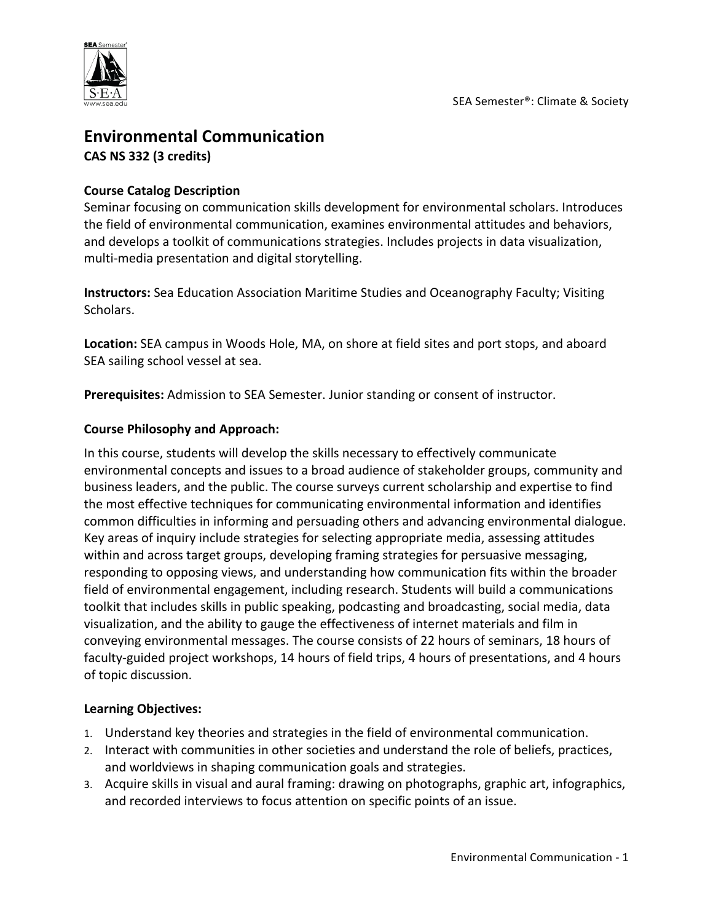

# **Environmental Communication CAS NS 332 (3 credits)**

#### **Course Catalog Description**

Seminar focusing on communication skills development for environmental scholars. Introduces the field of environmental communication, examines environmental attitudes and behaviors, and develops a toolkit of communications strategies. Includes projects in data visualization, multi-media presentation and digital storytelling.

**Instructors:** Sea Education Association Maritime Studies and Oceanography Faculty; Visiting Scholars.

**Location:** SEA campus in Woods Hole, MA, on shore at field sites and port stops, and aboard SEA sailing school vessel at sea.

**Prerequisites:** Admission to SEA Semester. Junior standing or consent of instructor.

#### **Course Philosophy and Approach:**

In this course, students will develop the skills necessary to effectively communicate environmental concepts and issues to a broad audience of stakeholder groups, community and business leaders, and the public. The course surveys current scholarship and expertise to find the most effective techniques for communicating environmental information and identifies common difficulties in informing and persuading others and advancing environmental dialogue. Key areas of inquiry include strategies for selecting appropriate media, assessing attitudes within and across target groups, developing framing strategies for persuasive messaging, responding to opposing views, and understanding how communication fits within the broader field of environmental engagement, including research. Students will build a communications toolkit that includes skills in public speaking, podcasting and broadcasting, social media, data visualization, and the ability to gauge the effectiveness of internet materials and film in conveying environmental messages. The course consists of 22 hours of seminars, 18 hours of faculty-guided project workshops, 14 hours of field trips, 4 hours of presentations, and 4 hours of topic discussion.

#### **Learning Objectives:**

- 1. Understand key theories and strategies in the field of environmental communication.
- 2. Interact with communities in other societies and understand the role of beliefs, practices, and worldviews in shaping communication goals and strategies.
- 3. Acquire skills in visual and aural framing: drawing on photographs, graphic art, infographics, and recorded interviews to focus attention on specific points of an issue.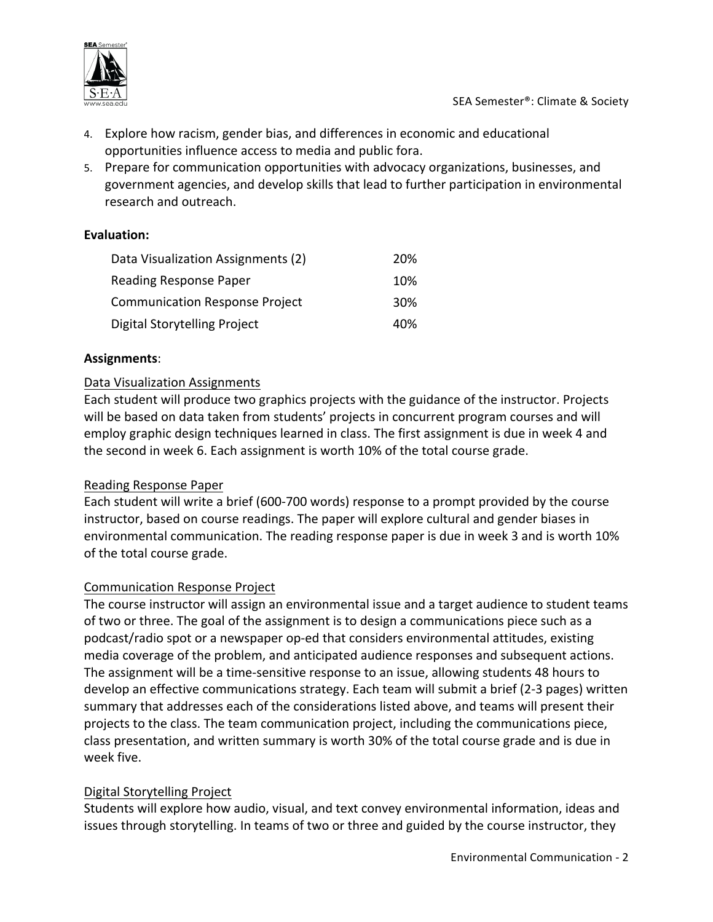

- 4. Explore how racism, gender bias, and differences in economic and educational opportunities influence access to media and public fora.
- 5. Prepare for communication opportunities with advocacy organizations, businesses, and government agencies, and develop skills that lead to further participation in environmental research and outreach.

#### **Evaluation:**

| Data Visualization Assignments (2)    | 20% |
|---------------------------------------|-----|
| Reading Response Paper                | 10% |
| <b>Communication Response Project</b> | 30% |
| Digital Storytelling Project          | 40% |

#### **Assignments**:

#### Data Visualization Assignments

Each student will produce two graphics projects with the guidance of the instructor. Projects will be based on data taken from students' projects in concurrent program courses and will employ graphic design techniques learned in class. The first assignment is due in week 4 and the second in week 6. Each assignment is worth 10% of the total course grade.

#### Reading Response Paper

Each student will write a brief (600-700 words) response to a prompt provided by the course instructor, based on course readings. The paper will explore cultural and gender biases in environmental communication. The reading response paper is due in week 3 and is worth 10% of the total course grade.

#### Communication Response Project

The course instructor will assign an environmental issue and a target audience to student teams of two or three. The goal of the assignment is to design a communications piece such as a podcast/radio spot or a newspaper op-ed that considers environmental attitudes, existing media coverage of the problem, and anticipated audience responses and subsequent actions. The assignment will be a time-sensitive response to an issue, allowing students 48 hours to develop an effective communications strategy. Each team will submit a brief (2-3 pages) written summary that addresses each of the considerations listed above, and teams will present their projects to the class. The team communication project, including the communications piece, class presentation, and written summary is worth 30% of the total course grade and is due in week five.

#### Digital Storytelling Project

Students will explore how audio, visual, and text convey environmental information, ideas and issues through storytelling. In teams of two or three and guided by the course instructor, they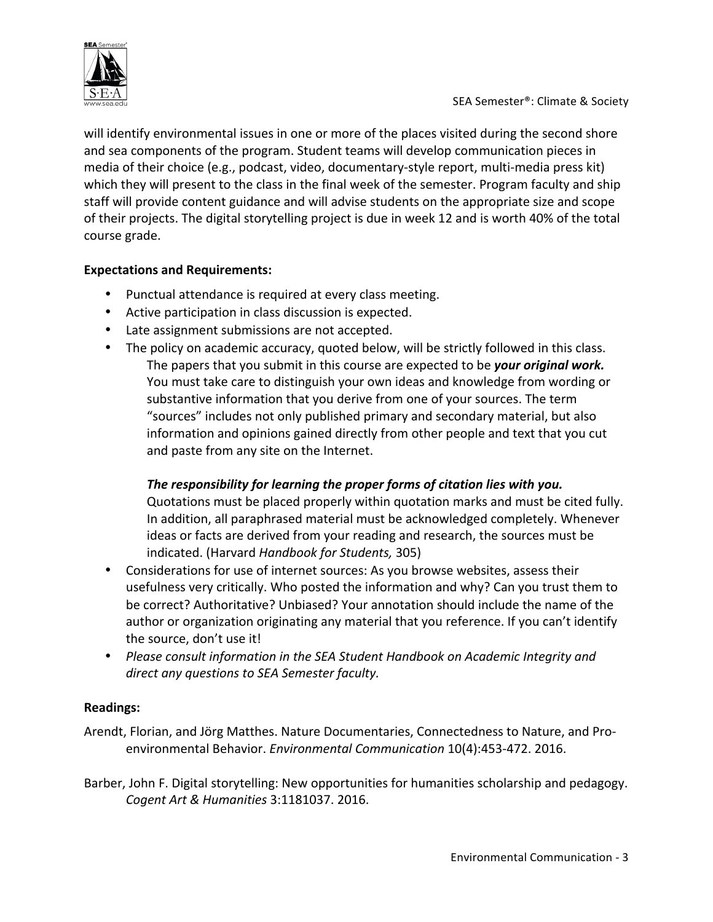

will identify environmental issues in one or more of the places visited during the second shore and sea components of the program. Student teams will develop communication pieces in media of their choice (e.g., podcast, video, documentary-style report, multi-media press kit) which they will present to the class in the final week of the semester. Program faculty and ship staff will provide content guidance and will advise students on the appropriate size and scope of their projects. The digital storytelling project is due in week 12 and is worth 40% of the total course grade.

## **Expectations and Requirements:**

- Punctual attendance is required at every class meeting.
- Active participation in class discussion is expected.
- Late assignment submissions are not accepted.
- The policy on academic accuracy, quoted below, will be strictly followed in this class. The papers that you submit in this course are expected to be your original work. You must take care to distinguish your own ideas and knowledge from wording or substantive information that you derive from one of your sources. The term "sources" includes not only published primary and secondary material, but also information and opinions gained directly from other people and text that you cut and paste from any site on the Internet.

# The responsibility for learning the proper forms of citation lies with you.

Quotations must be placed properly within quotation marks and must be cited fully. In addition, all paraphrased material must be acknowledged completely. Whenever ideas or facts are derived from your reading and research, the sources must be indicated. (Harvard *Handbook for Students,* 305)

- Considerations for use of internet sources: As you browse websites, assess their usefulness very critically. Who posted the information and why? Can you trust them to be correct? Authoritative? Unbiased? Your annotation should include the name of the author or organization originating any material that you reference. If you can't identify the source, don't use it!
- Please consult information in the SEA Student Handbook on Academic Integrity and direct any questions to SEA Semester faculty.

## **Readings:**

Arendt, Florian, and Jörg Matthes. Nature Documentaries, Connectedness to Nature, and Proenvironmental Behavior. *Environmental Communication* 10(4):453-472. 2016.

Barber, John F. Digital storytelling: New opportunities for humanities scholarship and pedagogy. *Cogent Art & Humanities* 3:1181037. 2016.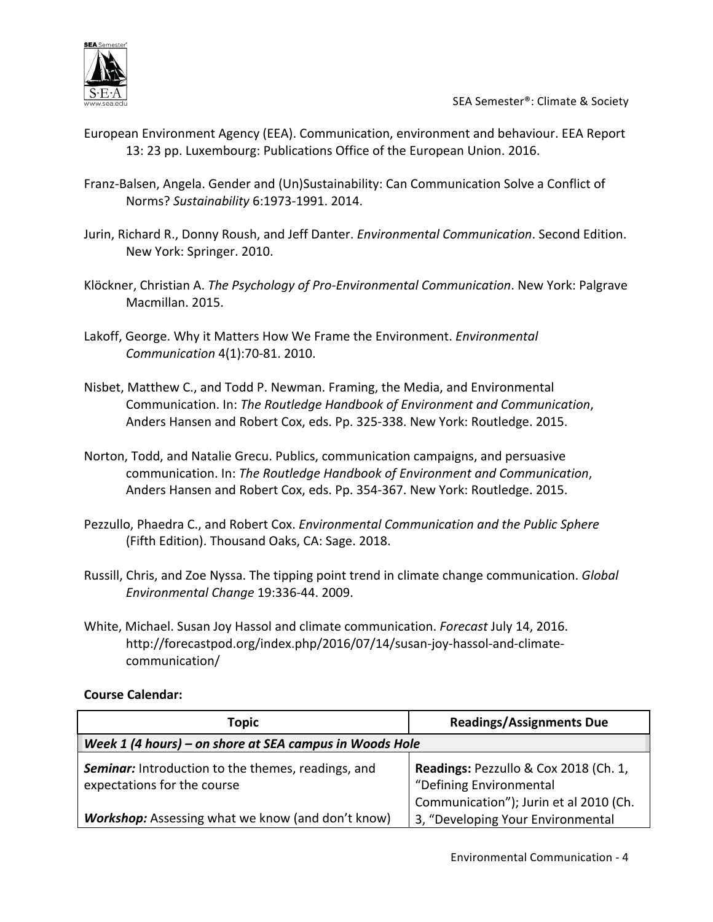

- European Environment Agency (EEA). Communication, environment and behaviour. EEA Report 13: 23 pp. Luxembourg: Publications Office of the European Union. 2016.
- Franz-Balsen, Angela. Gender and (Un)Sustainability: Can Communication Solve a Conflict of Norms? *Sustainability* 6:1973-1991. 2014.
- Jurin, Richard R., Donny Roush, and Jeff Danter. *Environmental Communication*. Second Edition. New York: Springer. 2010.
- Klöckner, Christian A. *The Psychology of Pro-Environmental Communication*. New York: Palgrave Macmillan. 2015.
- Lakoff, George. Why it Matters How We Frame the Environment. *Environmental Communication* 4(1):70-81. 2010.
- Nisbet, Matthew C., and Todd P. Newman. Framing, the Media, and Environmental Communication. In: *The Routledge Handbook of Environment and Communication*, Anders Hansen and Robert Cox, eds. Pp. 325-338. New York: Routledge. 2015.
- Norton, Todd, and Natalie Grecu. Publics, communication campaigns, and persuasive communication. In: The Routledge Handbook of Environment and Communication, Anders Hansen and Robert Cox, eds. Pp. 354-367. New York: Routledge. 2015.
- Pezzullo, Phaedra C., and Robert Cox. *Environmental Communication and the Public Sphere* (Fifth Edition). Thousand Oaks, CA: Sage. 2018.
- Russill, Chris, and Zoe Nyssa. The tipping point trend in climate change communication. *Global Environmental Change* 19:336-44. 2009.
- White, Michael. Susan Joy Hassol and climate communication. *Forecast July 14, 2016.* http://forecastpod.org/index.php/2016/07/14/susan-joy-hassol-and-climatecommunication/

#### **Course Calendar:**

| <b>Topic</b>                                                                             | <b>Readings/Assignments Due</b>                                                                            |  |
|------------------------------------------------------------------------------------------|------------------------------------------------------------------------------------------------------------|--|
| Week 1 (4 hours) – on shore at SEA campus in Woods Hole                                  |                                                                                                            |  |
| <b>Seminar:</b> Introduction to the themes, readings, and<br>expectations for the course | Readings: Pezzullo & Cox 2018 (Ch. 1,<br>"Defining Environmental<br>Communication"); Jurin et al 2010 (Ch. |  |
| <b>Workshop:</b> Assessing what we know (and don't know)                                 | 3, "Developing Your Environmental                                                                          |  |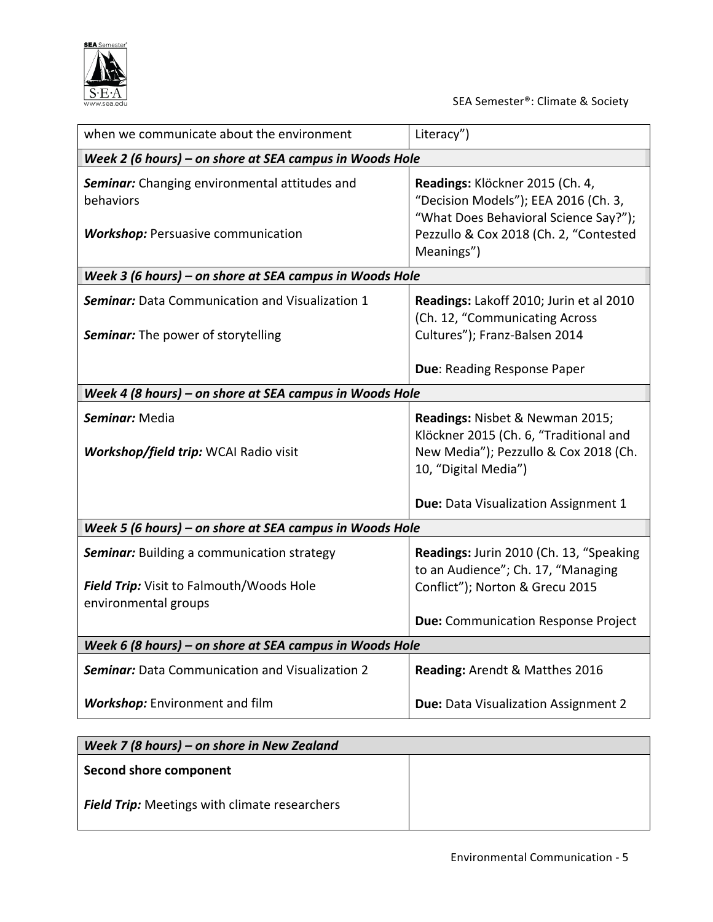

| when we communicate about the environment                                                                             | Literacy")                                                                                                                                                                         |  |
|-----------------------------------------------------------------------------------------------------------------------|------------------------------------------------------------------------------------------------------------------------------------------------------------------------------------|--|
| Week 2 (6 hours) – on shore at SEA campus in Woods Hole                                                               |                                                                                                                                                                                    |  |
| Seminar: Changing environmental attitudes and<br>behaviors<br><b>Workshop:</b> Persuasive communication               | Readings: Klöckner 2015 (Ch. 4,<br>"Decision Models"); EEA 2016 (Ch. 3,<br>"What Does Behavioral Science Say?");<br>Pezzullo & Cox 2018 (Ch. 2, "Contested<br>Meanings")           |  |
| Week 3 (6 hours) - on shore at SEA campus in Woods Hole                                                               |                                                                                                                                                                                    |  |
| <b>Seminar:</b> Data Communication and Visualization 1<br><b>Seminar:</b> The power of storytelling                   | Readings: Lakoff 2010; Jurin et al 2010<br>(Ch. 12, "Communicating Across<br>Cultures"); Franz-Balsen 2014                                                                         |  |
|                                                                                                                       | Due: Reading Response Paper                                                                                                                                                        |  |
| Week 4 (8 hours) - on shore at SEA campus in Woods Hole                                                               |                                                                                                                                                                                    |  |
| Seminar: Media<br><b>Workshop/field trip: WCAI Radio visit</b>                                                        | Readings: Nisbet & Newman 2015;<br>Klöckner 2015 (Ch. 6, "Traditional and<br>New Media"); Pezzullo & Cox 2018 (Ch.<br>10, "Digital Media")<br>Due: Data Visualization Assignment 1 |  |
|                                                                                                                       |                                                                                                                                                                                    |  |
| Week 5 (6 hours) - on shore at SEA campus in Woods Hole                                                               |                                                                                                                                                                                    |  |
| <b>Seminar:</b> Building a communication strategy<br>Field Trip: Visit to Falmouth/Woods Hole<br>environmental groups | Readings: Jurin 2010 (Ch. 13, "Speaking<br>to an Audience"; Ch. 17, "Managing<br>Conflict"); Norton & Grecu 2015<br><b>Due:</b> Communication Response Project                     |  |
| Week 6 (8 hours) - on shore at SEA campus in Woods Hole                                                               |                                                                                                                                                                                    |  |
|                                                                                                                       |                                                                                                                                                                                    |  |
| <b>Seminar:</b> Data Communication and Visualization 2                                                                | Reading: Arendt & Matthes 2016                                                                                                                                                     |  |
| <b>Workshop:</b> Environment and film                                                                                 | <b>Due: Data Visualization Assignment 2</b>                                                                                                                                        |  |

| Week 7 (8 hours) – on shore in New Zealand           |  |
|------------------------------------------------------|--|
| Second shore component                               |  |
| <b>Field Trip:</b> Meetings with climate researchers |  |